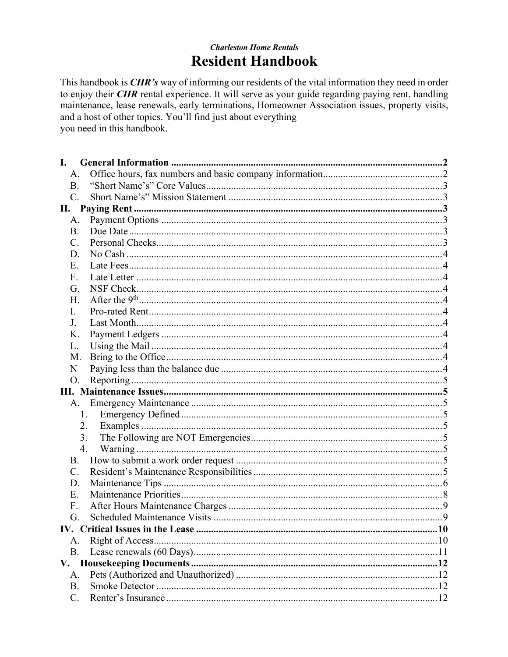# **Charleston Home Rentals Resident Handbook**

This handbook is *CHR's* way of informing our residents of the vital information they need in order to enjoy their *CHR* rental experience. It will serve as your guide regarding paying rent, handling maintenance, lease renewals, early terminations, Homeowner Association issues, property visits, and a host of other topics. You'll find just about everything you need in this handbook.

| I.             |    |  |
|----------------|----|--|
| А.             |    |  |
| <b>B.</b>      |    |  |
| $\mathbf{C}$ . |    |  |
| П.             |    |  |
| А.             |    |  |
| B.             |    |  |
| C.             |    |  |
| D.             |    |  |
| E.             |    |  |
| F.             |    |  |
| G.             |    |  |
| H.             |    |  |
| L.             |    |  |
| J.             |    |  |
| K.             |    |  |
| L.             |    |  |
| M.             |    |  |
| N              |    |  |
| Ο.             |    |  |
|                |    |  |
|                | A. |  |
|                | 1. |  |
|                | 2. |  |
|                | 3. |  |
|                | 4. |  |
| B.             |    |  |
| $\mathbf{C}$ . |    |  |
| D.             |    |  |
| E.             |    |  |
| F.             |    |  |
| G.             |    |  |
|                |    |  |
| А.             |    |  |
| <b>B.</b>      |    |  |
|                |    |  |
| A.             |    |  |
| <b>B.</b>      |    |  |
| $C_{\cdot}$    |    |  |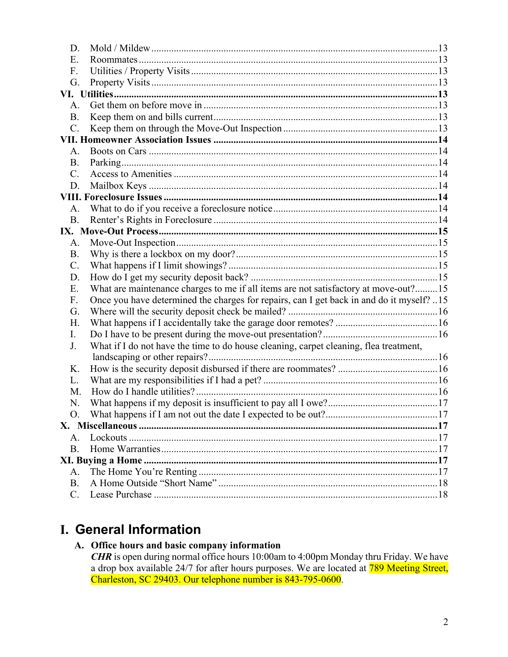| D.             |                                                                                          |  |
|----------------|------------------------------------------------------------------------------------------|--|
| E.             |                                                                                          |  |
| F.             |                                                                                          |  |
| G.             |                                                                                          |  |
|                |                                                                                          |  |
| $A_{\cdot}$    |                                                                                          |  |
| <b>B.</b>      |                                                                                          |  |
| $C$ .          |                                                                                          |  |
|                |                                                                                          |  |
| A.             |                                                                                          |  |
| <b>B.</b>      |                                                                                          |  |
| $C_{\cdot}$    |                                                                                          |  |
| D.             |                                                                                          |  |
|                |                                                                                          |  |
| $A_{\cdot}$    |                                                                                          |  |
| <b>B.</b>      |                                                                                          |  |
|                |                                                                                          |  |
| A.             |                                                                                          |  |
| <b>B.</b>      |                                                                                          |  |
| $\mathbf{C}$ . |                                                                                          |  |
| D.             |                                                                                          |  |
| E.             | What are maintenance charges to me if all items are not satisfactory at move-out?15      |  |
| F.             | Once you have determined the charges for repairs, can I get back in and do it myself? 15 |  |
| G.             |                                                                                          |  |
| H.             |                                                                                          |  |
| L.             |                                                                                          |  |
| J.             | What if I do not have the time to do house cleaning, carpet cleaning, flea treatment,    |  |
|                |                                                                                          |  |
| K.             |                                                                                          |  |
| L.             |                                                                                          |  |
| M.             |                                                                                          |  |
| N.             |                                                                                          |  |
|                |                                                                                          |  |
| $A_{1}$        |                                                                                          |  |
| <b>B.</b>      |                                                                                          |  |
|                |                                                                                          |  |
| A.             |                                                                                          |  |
| <b>B.</b>      |                                                                                          |  |
| $\mathbf{C}$ . |                                                                                          |  |
|                |                                                                                          |  |

# I. General Information

# A. Office hours and basic company information

**CHR** is open during normal office hours 10:00am to 4:00pm Monday thru Friday. We have a drop box available 24/7 for after hours purposes. We are located at 789 Meeting Street, Charleston, SC 29403. Our telephone number is 843-795-0600.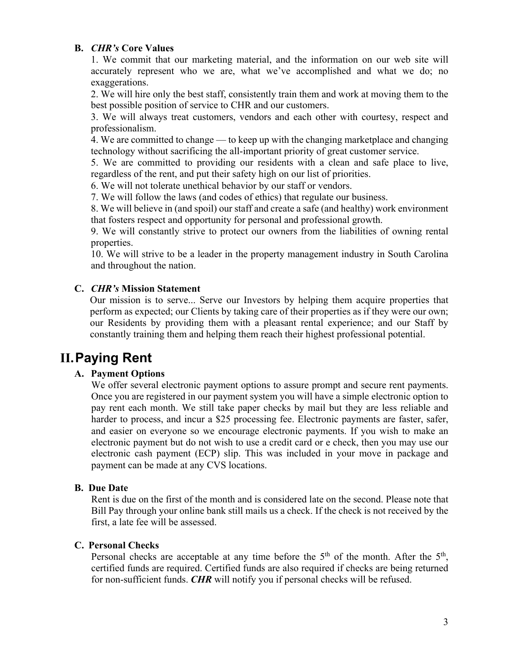#### **B.** *CHR's* **Core Values**

1. We commit that our marketing material, and the information on our web site will accurately represent who we are, what we've accomplished and what we do; no exaggerations.

2. We will hire only the best staff, consistently train them and work at moving them to the best possible position of service to CHR and our customers.

3. We will always treat customers, vendors and each other with courtesy, respect and professionalism.

4. We are committed to change — to keep up with the changing marketplace and changing technology without sacrificing the all-important priority of great customer service.

5. We are committed to providing our residents with a clean and safe place to live, regardless of the rent, and put their safety high on our list of priorities.

6. We will not tolerate unethical behavior by our staff or vendors.

7. We will follow the laws (and codes of ethics) that regulate our business.

8. We will believe in (and spoil) our staff and create a safe (and healthy) work environment that fosters respect and opportunity for personal and professional growth.

9. We will constantly strive to protect our owners from the liabilities of owning rental properties.

10. We will strive to be a leader in the property management industry in South Carolina and throughout the nation.

### **C.** *CHR's* **Mission Statement**

Our mission is to serve... Serve our Investors by helping them acquire properties that perform as expected; our Clients by taking care of their properties as if they were our own; our Residents by providing them with a pleasant rental experience; and our Staff by constantly training them and helping them reach their highest professional potential.

# **II.Paying Rent**

# **A. Payment Options**

We offer several electronic payment options to assure prompt and secure rent payments. Once you are registered in our payment system you will have a simple electronic option to pay rent each month. We still take paper checks by mail but they are less reliable and harder to process, and incur a \$25 processing fee. Electronic payments are faster, safer, and easier on everyone so we encourage electronic payments. If you wish to make an electronic payment but do not wish to use a credit card or e check, then you may use our electronic cash payment (ECP) slip. This was included in your move in package and payment can be made at any CVS locations.

#### **B. Due Date**

Rent is due on the first of the month and is considered late on the second. Please note that Bill Pay through your online bank still mails us a check. If the check is not received by the first, a late fee will be assessed.

#### **C. Personal Checks**

Personal checks are acceptable at any time before the  $5<sup>th</sup>$  of the month. After the  $5<sup>th</sup>$ , certified funds are required. Certified funds are also required if checks are being returned for non-sufficient funds. *CHR* will notify you if personal checks will be refused.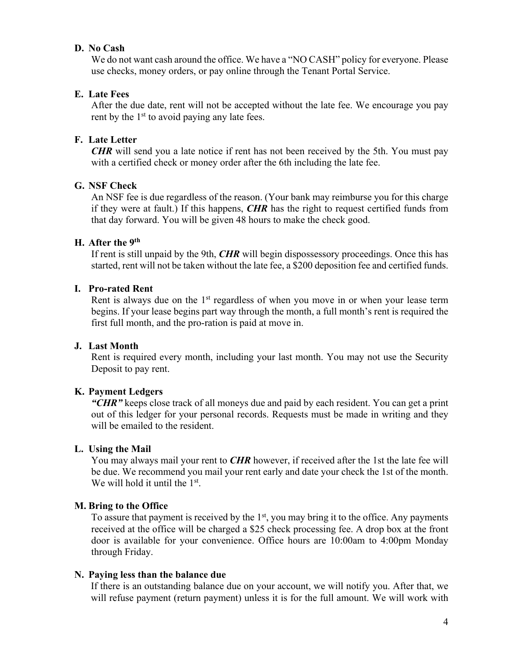#### **D. No Cash**

We do not want cash around the office. We have a "NO CASH" policy for everyone. Please use checks, money orders, or pay online through the Tenant Portal Service.

#### **E. Late Fees**

After the due date, rent will not be accepted without the late fee. We encourage you pay rent by the  $1<sup>st</sup>$  to avoid paying any late fees.

#### **F. Late Letter**

*CHR* will send you a late notice if rent has not been received by the 5th. You must pay with a certified check or money order after the 6th including the late fee.

#### **G. NSF Check**

An NSF fee is due regardless of the reason. (Your bank may reimburse you for this charge if they were at fault.) If this happens, *CHR* has the right to request certified funds from that day forward. You will be given 48 hours to make the check good.

#### **H. After the 9th**

If rent is still unpaid by the 9th, *CHR* will begin dispossessory proceedings. Once this has started, rent will not be taken without the late fee, a \$200 deposition fee and certified funds.

# **I. Pro-rated Rent**

Rent is always due on the 1<sup>st</sup> regardless of when you move in or when your lease term begins. If your lease begins part way through the month, a full month's rent is required the first full month, and the pro-ration is paid at move in.

#### **J. Last Month**

Rent is required every month, including your last month. You may not use the Security Deposit to pay rent.

#### **K. Payment Ledgers**

*"CHR"* keeps close track of all moneys due and paid by each resident. You can get a print out of this ledger for your personal records. Requests must be made in writing and they will be emailed to the resident.

#### **L. Using the Mail**

You may always mail your rent to *CHR* however, if received after the 1st the late fee will be due. We recommend you mail your rent early and date your check the 1st of the month. We will hold it until the 1<sup>st</sup>.

#### **M. Bring to the Office**

To assure that payment is received by the  $1<sup>st</sup>$ , you may bring it to the office. Any payments received at the office will be charged a \$25 check processing fee. A drop box at the front door is available for your convenience. Office hours are 10:00am to 4:00pm Monday through Friday.

#### **N. Paying less than the balance due**

If there is an outstanding balance due on your account, we will notify you. After that, we will refuse payment (return payment) unless it is for the full amount. We will work with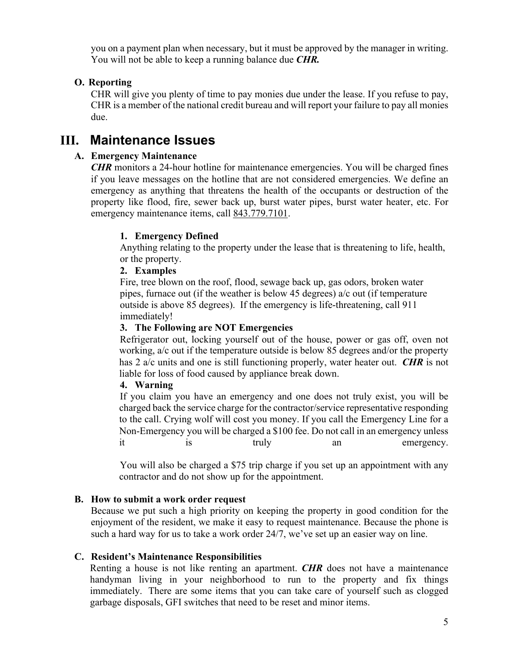you on a payment plan when necessary, but it must be approved by the manager in writing. You will not be able to keep a running balance due *CHR.*

# **O. Reporting**

CHR will give you plenty of time to pay monies due under the lease. If you refuse to pay, CHR is a member of the national credit bureau and will report your failure to pay all monies due.

# **III. Maintenance Issues**

#### **A. Emergency Maintenance**

*CHR* monitors a 24-hour hotline for maintenance emergencies. You will be charged fines if you leave messages on the hotline that are not considered emergencies. We define an emergency as anything that threatens the health of the occupants or destruction of the property like flood, fire, sewer back up, burst water pipes, burst water heater, etc. For emergency maintenance items, call 843.779.7101.

#### **1. Emergency Defined**

Anything relating to the property under the lease that is threatening to life, health, or the property.

### **2. Examples**

Fire, tree blown on the roof, flood, sewage back up, gas odors, broken water pipes, furnace out (if the weather is below 45 degrees) a/c out (if temperature outside is above 85 degrees). If the emergency is life-threatening, call 911 immediately!

#### **3. The Following are NOT Emergencies**

Refrigerator out, locking yourself out of the house, power or gas off, oven not working, a/c out if the temperature outside is below 85 degrees and/or the property has 2 a/c units and one is still functioning properly, water heater out. *CHR* is not liable for loss of food caused by appliance break down.

#### **4. Warning**

If you claim you have an emergency and one does not truly exist, you will be charged back the service charge for the contractor/service representative responding to the call. Crying wolf will cost you money. If you call the Emergency Line for a Non-Emergency you will be charged a \$100 fee. Do not call in an emergency unless it is truly an emergency.

You will also be charged a \$75 trip charge if you set up an appointment with any contractor and do not show up for the appointment.

#### **B. How to submit a work order request**

Because we put such a high priority on keeping the property in good condition for the enjoyment of the resident, we make it easy to request maintenance. Because the phone is such a hard way for us to take a work order 24/7, we've set up an easier way on line.

#### **C. Resident's Maintenance Responsibilities**

Renting a house is not like renting an apartment. *CHR* does not have a maintenance handyman living in your neighborhood to run to the property and fix things immediately. There are some items that you can take care of yourself such as clogged garbage disposals, GFI switches that need to be reset and minor items.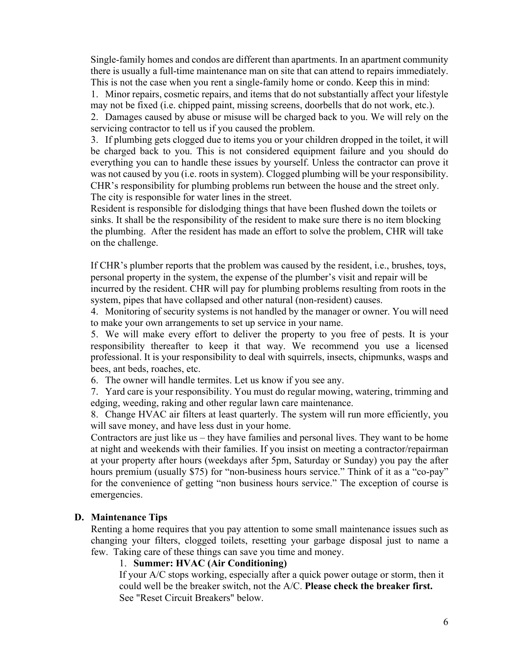Single-family homes and condos are different than apartments. In an apartment community there is usually a full-time maintenance man on site that can attend to repairs immediately. This is not the case when you rent a single-family home or condo. Keep this in mind:

1. Minor repairs, cosmetic repairs, and items that do not substantially affect your lifestyle may not be fixed (i.e. chipped paint, missing screens, doorbells that do not work, etc.).

2. Damages caused by abuse or misuse will be charged back to you. We will rely on the servicing contractor to tell us if you caused the problem.

3. If plumbing gets clogged due to items you or your children dropped in the toilet, it will be charged back to you. This is not considered equipment failure and you should do everything you can to handle these issues by yourself. Unless the contractor can prove it was not caused by you (i.e. roots in system). Clogged plumbing will be your responsibility. CHR's responsibility for plumbing problems run between the house and the street only. The city is responsible for water lines in the street.

Resident is responsible for dislodging things that have been flushed down the toilets or sinks. It shall be the responsibility of the resident to make sure there is no item blocking the plumbing. After the resident has made an effort to solve the problem, CHR will take on the challenge.

If CHR's plumber reports that the problem was caused by the resident, i.e., brushes, toys, personal property in the system, the expense of the plumber's visit and repair will be incurred by the resident. CHR will pay for plumbing problems resulting from roots in the system, pipes that have collapsed and other natural (non-resident) causes.

4. Monitoring of security systems is not handled by the manager or owner. You will need to make your own arrangements to set up service in your name.

5. We will make every effort to deliver the property to you free of pests. It is your responsibility thereafter to keep it that way. We recommend you use a licensed professional. It is your responsibility to deal with squirrels, insects, chipmunks, wasps and bees, ant beds, roaches, etc.

6. The owner will handle termites. Let us know if you see any.

7. Yard care is your responsibility. You must do regular mowing, watering, trimming and edging, weeding, raking and other regular lawn care maintenance.

8. Change HVAC air filters at least quarterly. The system will run more efficiently, you will save money, and have less dust in your home.

Contractors are just like us – they have families and personal lives. They want to be home at night and weekends with their families. If you insist on meeting a contractor/repairman at your property after hours (weekdays after 5pm, Saturday or Sunday) you pay the after hours premium (usually \$75) for "non-business hours service." Think of it as a "co-pay" for the convenience of getting "non business hours service." The exception of course is emergencies.

#### **D. Maintenance Tips**

Renting a home requires that you pay attention to some small maintenance issues such as changing your filters, clogged toilets, resetting your garbage disposal just to name a few. Taking care of these things can save you time and money.

### 1. **Summer: HVAC (Air Conditioning)**

If your A/C stops working, especially after a quick power outage or storm, then it could well be the breaker switch, not the A/C. **Please check the breaker first.** See "Reset Circuit Breakers" below.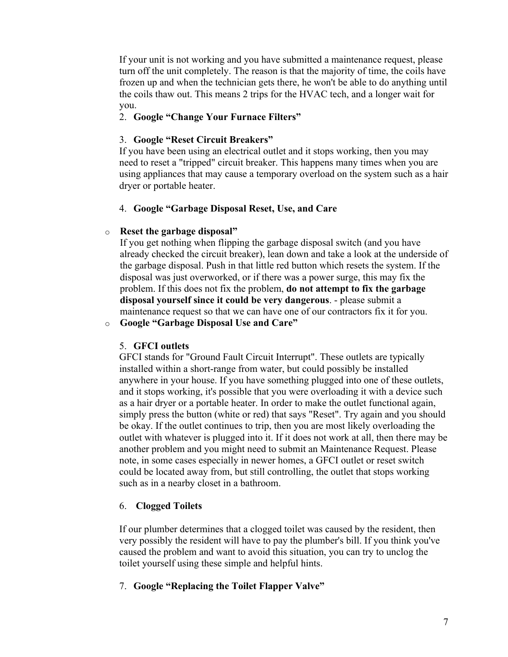If your unit is not working and you have submitted a maintenance request, please turn off the unit completely. The reason is that the majority of time, the coils have frozen up and when the technician gets there, he won't be able to do anything until the coils thaw out. This means 2 trips for the HVAC tech, and a longer wait for you.

### 2. **Google "Change Your Furnace Filters"**

### 3. **Google "Reset Circuit Breakers"**

If you have been using an electrical outlet and it stops working, then you may need to reset a "tripped" circuit breaker. This happens many times when you are using appliances that may cause a temporary overload on the system such as a hair dryer or portable heater.

#### 4. **Google "Garbage Disposal Reset, Use, and Care**

### o **Reset the garbage disposal"**

If you get nothing when flipping the garbage disposal switch (and you have already checked the circuit breaker), lean down and take a look at the underside of the garbage disposal. Push in that little red button which resets the system. If the disposal was just overworked, or if there was a power surge, this may fix the problem. If this does not fix the problem, **do not attempt to fix the garbage disposal yourself since it could be very dangerous**. - please submit a maintenance request so that we can have one of our contractors fix it for you.

o **Google "Garbage Disposal Use and Care"**

# 5. **GFCI outlets**

GFCI stands for "Ground Fault Circuit Interrupt". These outlets are typically installed within a short-range from water, but could possibly be installed anywhere in your house. If you have something plugged into one of these outlets, and it stops working, it's possible that you were overloading it with a device such as a hair dryer or a portable heater. In order to make the outlet functional again, simply press the button (white or red) that says "Reset". Try again and you should be okay. If the outlet continues to trip, then you are most likely overloading the outlet with whatever is plugged into it. If it does not work at all, then there may be another problem and you might need to submit an Maintenance Request. Please note, in some cases especially in newer homes, a GFCI outlet or reset switch could be located away from, but still controlling, the outlet that stops working such as in a nearby closet in a bathroom.

# 6. **Clogged Toilets**

If our plumber determines that a clogged toilet was caused by the resident, then very possibly the resident will have to pay the plumber's bill. If you think you've caused the problem and want to avoid this situation, you can try to unclog the toilet yourself using these simple and helpful hints.

# 7. **Google "Replacing the Toilet Flapper Valve"**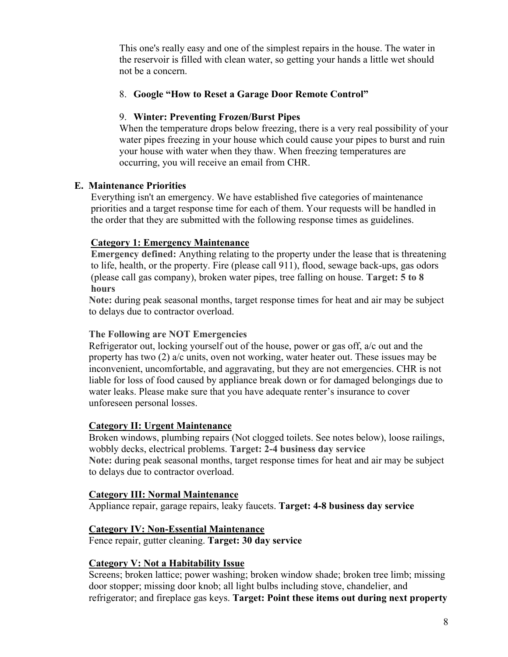This one's really easy and one of the simplest repairs in the house. The water in the reservoir is filled with clean water, so getting your hands a little wet should not be a concern.

# 8. **Google "How to Reset a Garage Door Remote Control"**

# 9. **Winter: Preventing Frozen/Burst Pipes**

When the temperature drops below freezing, there is a very real possibility of your water pipes freezing in your house which could cause your pipes to burst and ruin your house with water when they thaw. When freezing temperatures are occurring, you will receive an email from CHR.

# **E. Maintenance Priorities**

Everything isn't an emergency. We have established five categories of maintenance priorities and a target response time for each of them. Your requests will be handled in the order that they are submitted with the following response times as guidelines.

# **Category 1: Emergency Maintenance**

**Emergency defined:** Anything relating to the property under the lease that is threatening to life, health, or the property. Fire (please call 911), flood, sewage back-ups, gas odors (please call gas company), broken water pipes, tree falling on house. **Target: 5 to 8 hours**

**Note:** during peak seasonal months, target response times for heat and air may be subject to delays due to contractor overload.

# **The Following are NOT Emergencies**

Refrigerator out, locking yourself out of the house, power or gas off, a/c out and the property has two (2) a/c units, oven not working, water heater out. These issues may be inconvenient, uncomfortable, and aggravating, but they are not emergencies. CHR is not liable for loss of food caused by appliance break down or for damaged belongings due to water leaks. Please make sure that you have adequate renter's insurance to cover unforeseen personal losses.

# **Category II: Urgent Maintenance**

Broken windows, plumbing repairs (Not clogged toilets. See notes below), loose railings, wobbly decks, electrical problems. **Target: 2-4 business day service Note:** during peak seasonal months, target response times for heat and air may be subject to delays due to contractor overload.

# **Category III: Normal Maintenance**

Appliance repair, garage repairs, leaky faucets. **Target: 4-8 business day service**

# **Category IV: Non-Essential Maintenance**

Fence repair, gutter cleaning. **Target: 30 day service**

# **Category V: Not a Habitability Issue**

Screens; broken lattice; power washing; broken window shade; broken tree limb; missing door stopper; missing door knob; all light bulbs including stove, chandelier, and refrigerator; and fireplace gas keys. **Target: Point these items out during next property**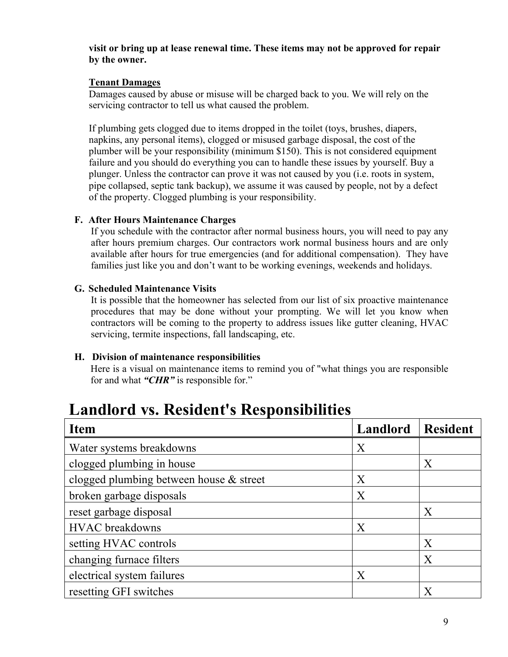#### **visit or bring up at lease renewal time. These items may not be approved for repair by the owner.**

### **Tenant Damages**

Damages caused by abuse or misuse will be charged back to you. We will rely on the servicing contractor to tell us what caused the problem.

If plumbing gets clogged due to items dropped in the toilet (toys, brushes, diapers, napkins, any personal items), clogged or misused garbage disposal, the cost of the plumber will be your responsibility (minimum \$150). This is not considered equipment failure and you should do everything you can to handle these issues by yourself. Buy a plunger. Unless the contractor can prove it was not caused by you (i.e. roots in system, pipe collapsed, septic tank backup), we assume it was caused by people, not by a defect of the property. Clogged plumbing is your responsibility.

### **F. After Hours Maintenance Charges**

If you schedule with the contractor after normal business hours, you will need to pay any after hours premium charges. Our contractors work normal business hours and are only available after hours for true emergencies (and for additional compensation). They have families just like you and don't want to be working evenings, weekends and holidays.

### **G. Scheduled Maintenance Visits**

It is possible that the homeowner has selected from our list of six proactive maintenance procedures that may be done without your prompting. We will let you know when contractors will be coming to the property to address issues like gutter cleaning, HVAC servicing, termite inspections, fall landscaping, etc.

# **H. Division of maintenance responsibilities**

Here is a visual on maintenance items to remind you of "what things you are responsible for and what *"CHR"* is responsible for."

| <b>Item</b>                             | Landlord | <b>Resident</b>  |
|-----------------------------------------|----------|------------------|
| Water systems breakdowns                | X        |                  |
| clogged plumbing in house               |          | $\boldsymbol{X}$ |
| clogged plumbing between house & street | X        |                  |
| broken garbage disposals                | X        |                  |
| reset garbage disposal                  |          | X                |
| <b>HVAC</b> breakdowns                  | X        |                  |
| setting HVAC controls                   |          | X                |
| changing furnace filters                |          | X                |
| electrical system failures              | X        |                  |
| resetting GFI switches                  |          | X                |

# **Landlord vs. Resident's Responsibilities**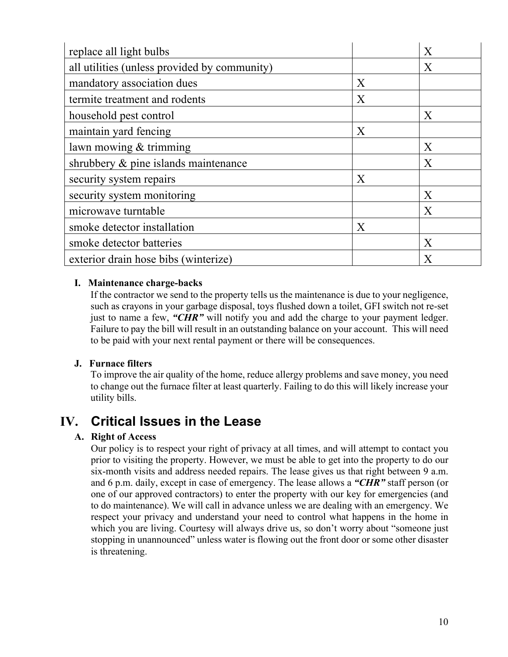| replace all light bulbs                      |   | X |
|----------------------------------------------|---|---|
| all utilities (unless provided by community) |   | X |
| mandatory association dues                   | X |   |
| termite treatment and rodents                | X |   |
| household pest control                       |   | X |
| maintain yard fencing                        | X |   |
| lawn mowing & trimming                       |   | X |
| shrubbery & pine islands maintenance         |   | X |
| security system repairs                      | X |   |
| security system monitoring                   |   | X |
| microwave turntable                          |   | X |
| smoke detector installation                  | X |   |
| smoke detector batteries                     |   | X |
| exterior drain hose bibs (winterize)         |   | X |

# **I. Maintenance charge-backs**

If the contractor we send to the property tells us the maintenance is due to your negligence, such as crayons in your garbage disposal, toys flushed down a toilet, GFI switch not re-set just to name a few, "**CHR**" will notify you and add the charge to your payment ledger. Failure to pay the bill will result in an outstanding balance on your account. This will need to be paid with your next rental payment or there will be consequences.

#### **J. Furnace filters**

To improve the air quality of the home, reduce allergy problems and save money, you need to change out the furnace filter at least quarterly. Failing to do this will likely increase your utility bills.

# **IV. Critical Issues in the Lease**

# **A. Right of Access**

Our policy is to respect your right of privacy at all times, and will attempt to contact you prior to visiting the property. However, we must be able to get into the property to do our six-month visits and address needed repairs. The lease gives us that right between 9 a.m. and 6 p.m. daily, except in case of emergency. The lease allows a *"CHR"* staff person (or one of our approved contractors) to enter the property with our key for emergencies (and to do maintenance). We will call in advance unless we are dealing with an emergency. We respect your privacy and understand your need to control what happens in the home in which you are living. Courtesy will always drive us, so don't worry about "someone just stopping in unannounced" unless water is flowing out the front door or some other disaster is threatening.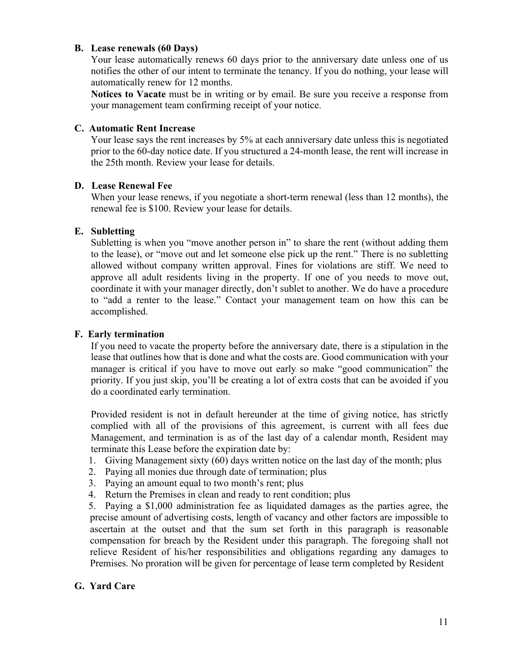#### **B. Lease renewals (60 Days)**

Your lease automatically renews 60 days prior to the anniversary date unless one of us notifies the other of our intent to terminate the tenancy. If you do nothing, your lease will automatically renew for 12 months.

**Notices to Vacate** must be in writing or by email. Be sure you receive a response from your management team confirming receipt of your notice.

### **C. Automatic Rent Increase**

Your lease says the rent increases by 5% at each anniversary date unless this is negotiated prior to the 60-day notice date. If you structured a 24-month lease, the rent will increase in the 25th month. Review your lease for details.

### **D. Lease Renewal Fee**

When your lease renews, if you negotiate a short-term renewal (less than 12 months), the renewal fee is \$100. Review your lease for details.

# **E. Subletting**

Subletting is when you "move another person in" to share the rent (without adding them to the lease), or "move out and let someone else pick up the rent." There is no subletting allowed without company written approval. Fines for violations are stiff. We need to approve all adult residents living in the property. If one of you needs to move out, coordinate it with your manager directly, don't sublet to another. We do have a procedure to "add a renter to the lease." Contact your management team on how this can be accomplished.

# **F. Early termination**

If you need to vacate the property before the anniversary date, there is a stipulation in the lease that outlines how that is done and what the costs are. Good communication with your manager is critical if you have to move out early so make "good communication" the priority. If you just skip, you'll be creating a lot of extra costs that can be avoided if you do a coordinated early termination.

Provided resident is not in default hereunder at the time of giving notice, has strictly complied with all of the provisions of this agreement, is current with all fees due Management, and termination is as of the last day of a calendar month, Resident may terminate this Lease before the expiration date by:

- 1. Giving Management sixty (60) days written notice on the last day of the month; plus
- 2. Paying all monies due through date of termination; plus
- 3. Paying an amount equal to two month's rent; plus
- 4. Return the Premises in clean and ready to rent condition; plus

5. Paying a \$1,000 administration fee as liquidated damages as the parties agree, the precise amount of advertising costs, length of vacancy and other factors are impossible to ascertain at the outset and that the sum set forth in this paragraph is reasonable compensation for breach by the Resident under this paragraph. The foregoing shall not relieve Resident of his/her responsibilities and obligations regarding any damages to Premises. No proration will be given for percentage of lease term completed by Resident

# **G. Yard Care**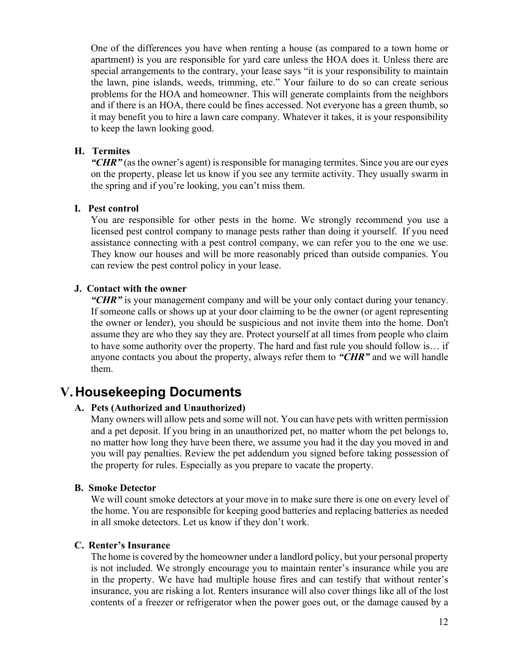One of the differences you have when renting a house (as compared to a town home or apartment) is you are responsible for yard care unless the HOA does it. Unless there are special arrangements to the contrary, your lease says "it is your responsibility to maintain the lawn, pine islands, weeds, trimming, etc." Your failure to do so can create serious problems for the HOA and homeowner. This will generate complaints from the neighbors and if there is an HOA, there could be fines accessed. Not everyone has a green thumb, so it may benefit you to hire a lawn care company. Whatever it takes, it is your responsibility to keep the lawn looking good.

#### **H. Termites**

"*CHR"* (as the owner's agent) is responsible for managing termites. Since you are our eyes on the property, please let us know if you see any termite activity. They usually swarm in the spring and if you're looking, you can't miss them.

### **I. Pest control**

You are responsible for other pests in the home. We strongly recommend you use a licensed pest control company to manage pests rather than doing it yourself. If you need assistance connecting with a pest control company, we can refer you to the one we use. They know our houses and will be more reasonably priced than outside companies. You can review the pest control policy in your lease.

### **J. Contact with the owner**

*"CHR"* is your management company and will be your only contact during your tenancy. If someone calls or shows up at your door claiming to be the owner (or agent representing the owner or lender), you should be suspicious and not invite them into the home. Don't assume they are who they say they are. Protect yourself at all times from people who claim to have some authority over the property. The hard and fast rule you should follow is… if anyone contacts you about the property, always refer them to *"CHR"* and we will handle them.

# **V. Housekeeping Documents**

# **A. Pets (Authorized and Unauthorized)**

Many owners will allow pets and some will not. You can have pets with written permission and a pet deposit. If you bring in an unauthorized pet, no matter whom the pet belongs to, no matter how long they have been there, we assume you had it the day you moved in and you will pay penalties. Review the pet addendum you signed before taking possession of the property for rules. Especially as you prepare to vacate the property.

# **B. Smoke Detector**

We will count smoke detectors at your move in to make sure there is one on every level of the home. You are responsible for keeping good batteries and replacing batteries as needed in all smoke detectors. Let us know if they don't work.

#### **C. Renter's Insurance**

The home is covered by the homeowner under a landlord policy, but your personal property is not included. We strongly encourage you to maintain renter's insurance while you are in the property. We have had multiple house fires and can testify that without renter's insurance, you are risking a lot. Renters insurance will also cover things like all of the lost contents of a freezer or refrigerator when the power goes out, or the damage caused by a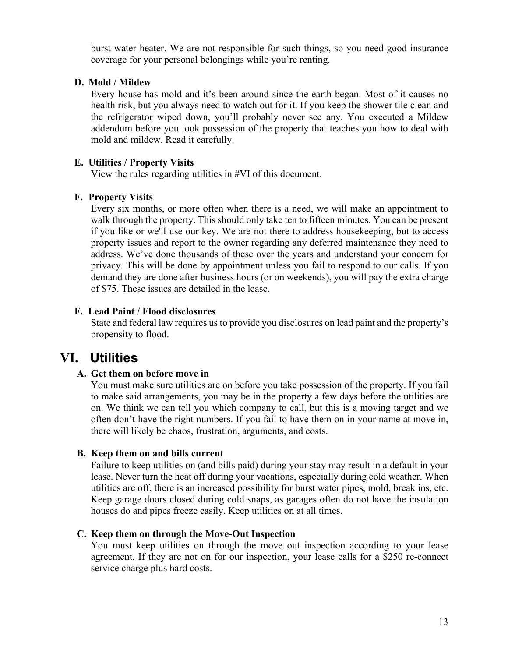burst water heater. We are not responsible for such things, so you need good insurance coverage for your personal belongings while you're renting.

### **D. Mold / Mildew**

Every house has mold and it's been around since the earth began. Most of it causes no health risk, but you always need to watch out for it. If you keep the shower tile clean and the refrigerator wiped down, you'll probably never see any. You executed a Mildew addendum before you took possession of the property that teaches you how to deal with mold and mildew. Read it carefully.

#### **E. Utilities / Property Visits**

View the rules regarding utilities in #VI of this document.

### **F. Property Visits**

Every six months, or more often when there is a need, we will make an appointment to walk through the property. This should only take ten to fifteen minutes. You can be present if you like or we'll use our key. We are not there to address housekeeping, but to access property issues and report to the owner regarding any deferred maintenance they need to address. We've done thousands of these over the years and understand your concern for privacy. This will be done by appointment unless you fail to respond to our calls. If you demand they are done after business hours (or on weekends), you will pay the extra charge of \$75. These issues are detailed in the lease.

# **F. Lead Paint / Flood disclosures**

State and federal law requires us to provide you disclosures on lead paint and the property's propensity to flood.

# **VI. Utilities**

# **A. Get them on before move in**

You must make sure utilities are on before you take possession of the property. If you fail to make said arrangements, you may be in the property a few days before the utilities are on. We think we can tell you which company to call, but this is a moving target and we often don't have the right numbers. If you fail to have them on in your name at move in, there will likely be chaos, frustration, arguments, and costs.

#### **B. Keep them on and bills current**

Failure to keep utilities on (and bills paid) during your stay may result in a default in your lease. Never turn the heat off during your vacations, especially during cold weather. When utilities are off, there is an increased possibility for burst water pipes, mold, break ins, etc. Keep garage doors closed during cold snaps, as garages often do not have the insulation houses do and pipes freeze easily. Keep utilities on at all times.

# **C. Keep them on through the Move-Out Inspection**

You must keep utilities on through the move out inspection according to your lease agreement. If they are not on for our inspection, your lease calls for a \$250 re-connect service charge plus hard costs.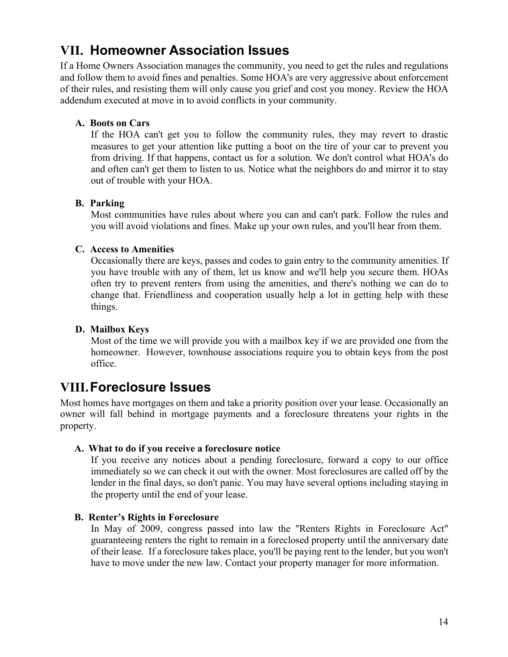# **VII. Homeowner Association Issues**

If a Home Owners Association manages the community, you need to get the rules and regulations and follow them to avoid fines and penalties. Some HOA's are very aggressive about enforcement of their rules, and resisting them will only cause you grief and cost you money. Review the HOA addendum executed at move in to avoid conflicts in your community.

# **A. Boots on Cars**

If the HOA can't get you to follow the community rules, they may revert to drastic measures to get your attention like putting a boot on the tire of your car to prevent you from driving. If that happens, contact us for a solution. We don't control what HOA's do and often can't get them to listen to us. Notice what the neighbors do and mirror it to stay out of trouble with your HOA.

# **B. Parking**

Most communities have rules about where you can and can't park. Follow the rules and you will avoid violations and fines. Make up your own rules, and you'll hear from them.

# **C. Access to Amenities**

Occasionally there are keys, passes and codes to gain entry to the community amenities. If you have trouble with any of them, let us know and we'll help you secure them. HOAs often try to prevent renters from using the amenities, and there's nothing we can do to change that. Friendliness and cooperation usually help a lot in getting help with these things.

# **D. Mailbox Keys**

Most of the time we will provide you with a mailbox key if we are provided one from the homeowner. However, townhouse associations require you to obtain keys from the post office.

# **VIII.Foreclosure Issues**

Most homes have mortgages on them and take a priority position over your lease. Occasionally an owner will fall behind in mortgage payments and a foreclosure threatens your rights in the property.

# **A. What to do if you receive a foreclosure notice**

If you receive any notices about a pending foreclosure, forward a copy to our office immediately so we can check it out with the owner. Most foreclosures are called off by the lender in the final days, so don't panic. You may have several options including staying in the property until the end of your lease.

# **B. Renter's Rights in Foreclosure**

In May of 2009, congress passed into law the "Renters Rights in Foreclosure Act" guaranteeing renters the right to remain in a foreclosed property until the anniversary date of their lease. If a foreclosure takes place, you'll be paying rent to the lender, but you won't have to move under the new law. Contact your property manager for more information.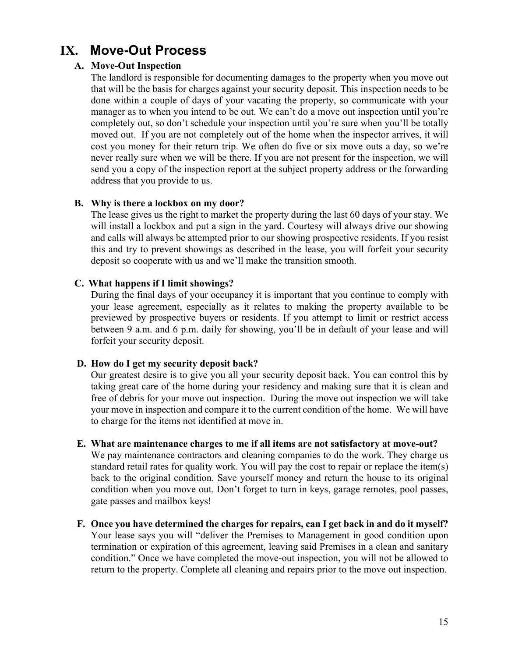# **IX. Move-Out Process**

### **A. Move-Out Inspection**

The landlord is responsible for documenting damages to the property when you move out that will be the basis for charges against your security deposit. This inspection needs to be done within a couple of days of your vacating the property, so communicate with your manager as to when you intend to be out. We can't do a move out inspection until you're completely out, so don't schedule your inspection until you're sure when you'll be totally moved out. If you are not completely out of the home when the inspector arrives, it will cost you money for their return trip. We often do five or six move outs a day, so we're never really sure when we will be there. If you are not present for the inspection, we will send you a copy of the inspection report at the subject property address or the forwarding address that you provide to us.

### **B. Why is there a lockbox on my door?**

The lease gives us the right to market the property during the last 60 days of your stay. We will install a lockbox and put a sign in the yard. Courtesy will always drive our showing and calls will always be attempted prior to our showing prospective residents. If you resist this and try to prevent showings as described in the lease, you will forfeit your security deposit so cooperate with us and we'll make the transition smooth.

### **C. What happens if I limit showings?**

During the final days of your occupancy it is important that you continue to comply with your lease agreement, especially as it relates to making the property available to be previewed by prospective buyers or residents. If you attempt to limit or restrict access between 9 a.m. and 6 p.m. daily for showing, you'll be in default of your lease and will forfeit your security deposit.

#### **D. How do I get my security deposit back?**

Our greatest desire is to give you all your security deposit back. You can control this by taking great care of the home during your residency and making sure that it is clean and free of debris for your move out inspection. During the move out inspection we will take your move in inspection and compare it to the current condition of the home. We will have to charge for the items not identified at move in.

#### **E. What are maintenance charges to me if all items are not satisfactory at move-out?**

We pay maintenance contractors and cleaning companies to do the work. They charge us standard retail rates for quality work. You will pay the cost to repair or replace the item(s) back to the original condition. Save yourself money and return the house to its original condition when you move out. Don't forget to turn in keys, garage remotes, pool passes, gate passes and mailbox keys!

**F. Once you have determined the charges for repairs, can I get back in and do it myself?** Your lease says you will "deliver the Premises to Management in good condition upon termination or expiration of this agreement, leaving said Premises in a clean and sanitary condition." Once we have completed the move-out inspection, you will not be allowed to return to the property. Complete all cleaning and repairs prior to the move out inspection.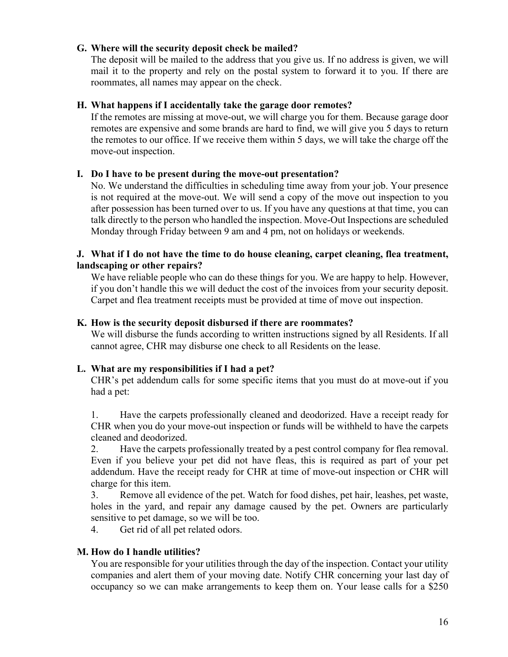### **G. Where will the security deposit check be mailed?**

The deposit will be mailed to the address that you give us. If no address is given, we will mail it to the property and rely on the postal system to forward it to you. If there are roommates, all names may appear on the check.

#### **H. What happens if I accidentally take the garage door remotes?**

If the remotes are missing at move-out, we will charge you for them. Because garage door remotes are expensive and some brands are hard to find, we will give you 5 days to return the remotes to our office. If we receive them within 5 days, we will take the charge off the move-out inspection.

### **I. Do I have to be present during the move-out presentation?**

No. We understand the difficulties in scheduling time away from your job. Your presence is not required at the move-out. We will send a copy of the move out inspection to you after possession has been turned over to us. If you have any questions at that time, you can talk directly to the person who handled the inspection. Move-Out Inspections are scheduled Monday through Friday between 9 am and 4 pm, not on holidays or weekends.

#### **J. What if I do not have the time to do house cleaning, carpet cleaning, flea treatment, landscaping or other repairs?**

We have reliable people who can do these things for you. We are happy to help. However, if you don't handle this we will deduct the cost of the invoices from your security deposit. Carpet and flea treatment receipts must be provided at time of move out inspection.

### **K. How is the security deposit disbursed if there are roommates?**

We will disburse the funds according to written instructions signed by all Residents. If all cannot agree, CHR may disburse one check to all Residents on the lease.

# **L. What are my responsibilities if I had a pet?**

CHR's pet addendum calls for some specific items that you must do at move-out if you had a pet:

1. Have the carpets professionally cleaned and deodorized. Have a receipt ready for CHR when you do your move-out inspection or funds will be withheld to have the carpets cleaned and deodorized.

2. Have the carpets professionally treated by a pest control company for flea removal. Even if you believe your pet did not have fleas, this is required as part of your pet addendum. Have the receipt ready for CHR at time of move-out inspection or CHR will charge for this item.

3. Remove all evidence of the pet. Watch for food dishes, pet hair, leashes, pet waste, holes in the yard, and repair any damage caused by the pet. Owners are particularly sensitive to pet damage, so we will be too.

4. Get rid of all pet related odors.

# **M. How do I handle utilities?**

You are responsible for your utilities through the day of the inspection. Contact your utility companies and alert them of your moving date. Notify CHR concerning your last day of occupancy so we can make arrangements to keep them on. Your lease calls for a \$250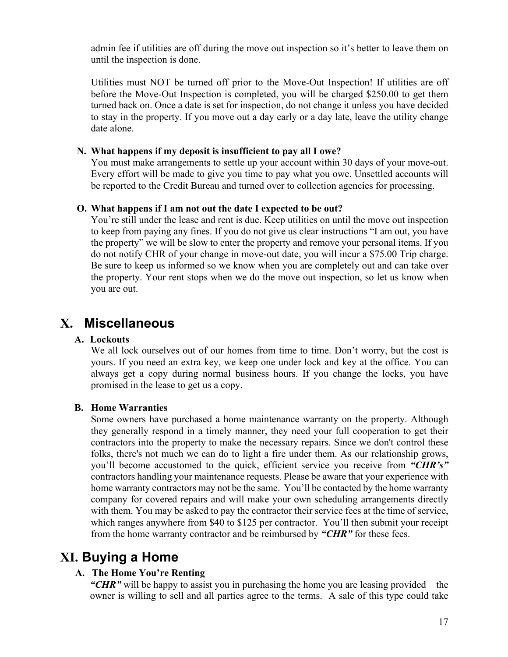admin fee if utilities are off during the move out inspection so it's better to leave them on until the inspection is done.

Utilities must NOT be turned off prior to the Move-Out Inspection! If utilities are off before the Move-Out Inspection is completed, you will be charged \$250.00 to get them turned back on. Once a date is set for inspection, do not change it unless you have decided to stay in the property. If you move out a day early or a day late, leave the utility change date alone.

### **N. What happens if my deposit is insufficient to pay all I owe?**

You must make arrangements to settle up your account within 30 days of your move-out. Every effort will be made to give you time to pay what you owe. Unsettled accounts will be reported to the Credit Bureau and turned over to collection agencies for processing.

#### **O. What happens if I am not out the date I expected to be out?**

You're still under the lease and rent is due. Keep utilities on until the move out inspection to keep from paying any fines. If you do not give us clear instructions "I am out, you have the property" we will be slow to enter the property and remove your personal items. If you do not notify CHR of your change in move-out date, you will incur a \$75.00 Trip charge. Be sure to keep us informed so we know when you are completely out and can take over the property. Your rent stops when we do the move out inspection, so let us know when you are out.

# **X. Miscellaneous**

#### **A. Lockouts**

We all lock ourselves out of our homes from time to time. Don't worry, but the cost is yours. If you need an extra key, we keep one under lock and key at the office. You can always get a copy during normal business hours. If you change the locks, you have promised in the lease to get us a copy.

#### **B. Home Warranties**

Some owners have purchased a home maintenance warranty on the property. Although they generally respond in a timely manner, they need your full cooperation to get their contractors into the property to make the necessary repairs. Since we don't control these folks, there's not much we can do to light a fire under them. As our relationship grows, you'll become accustomed to the quick, efficient service you receive from *"CHR's"* contractors handling your maintenance requests. Please be aware that your experience with home warranty contractors may not be the same. You'll be contacted by the home warranty company for covered repairs and will make your own scheduling arrangements directly with them. You may be asked to pay the contractor their service fees at the time of service, which ranges anywhere from \$40 to \$125 per contractor. You'll then submit your receipt from the home warranty contractor and be reimbursed by *"CHR"* for these fees.

# **XI. Buying a Home**

# **A. The Home You're Renting**

*"CHR"* will be happy to assist you in purchasing the home you are leasing provided the owner is willing to sell and all parties agree to the terms. A sale of this type could take